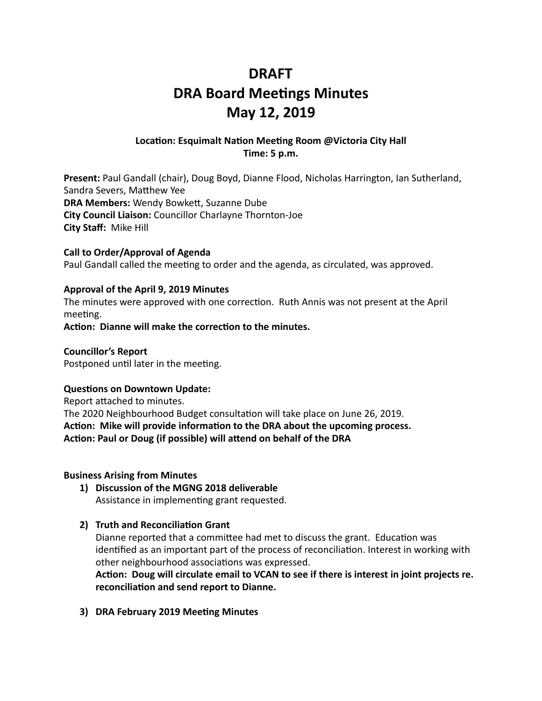## **DRAFT DRA Board Meetings Minutes May 12, 2019**

#### Location: Esquimalt Nation Meeting Room @Victoria City Hall **Time: 5 p.m.**

**Present:** Paul Gandall (chair), Doug Boyd, Dianne Flood, Nicholas Harrington, Ian Sutherland, Sandra Severs, Matthew Yee **DRA Members:** Wendy Bowkett, Suzanne Dube **City Council Liaison:** Councillor Charlayne Thornton-Joe **City Staff: Mike Hill** 

#### **Call to Order/Approval of Agenda**

Paul Gandall called the meeting to order and the agenda, as circulated, was approved.

#### Approval of the April 9, 2019 Minutes

The minutes were approved with one correction. Ruth Annis was not present at the April meeting.

Action: Dianne will make the correction to the minutes.

**Councillor's Report**  Postponed until later in the meeting.

#### **Questions on Downtown Update:**

Report attached to minutes. The 2020 Neighbourhood Budget consultation will take place on June 26, 2019. Action: Mike will provide information to the DRA about the upcoming process. Action: Paul or Doug (if possible) will attend on behalf of the DRA

#### **Business Arising from Minutes**

1) Discussion of the MGNG 2018 deliverable Assistance in implementing grant requested.

#### **2) Truth and Reconciliation Grant**

Dianne reported that a committee had met to discuss the grant. Education was identified as an important part of the process of reconciliation. Interest in working with other neighbourhood associations was expressed.

Action: Doug will circulate email to VCAN to see if there is interest in joint projects re. reconciliation and send report to Dianne.

**3) DRA February 2019 Meeting Minutes**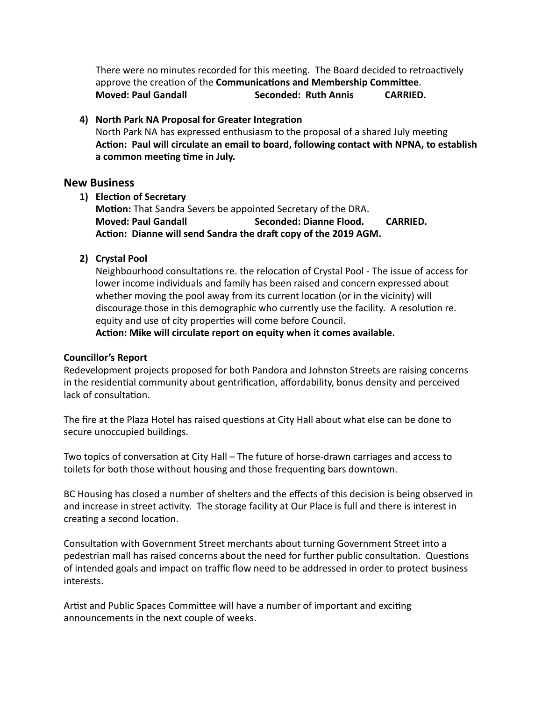There were no minutes recorded for this meeting. The Board decided to retroactively approve the creation of the **Communications and Membership Committee**. **Moved: Paul Gandall Seconded: Ruth Annis CARRIED.** 

#### 4) North Park NA Proposal for Greater Integration

North Park NA has expressed enthusiasm to the proposal of a shared July meeting Action: Paul will circulate an email to board, following contact with NPNA, to establish a common meeting time in July.

#### **New Business**

**1) Election of Secretary** 

Motion: That Sandra Severs be appointed Secretary of the DRA. **Moved: Paul Gandall Seconded: Dianne Flood. CARRIED.** Action: Dianne will send Sandra the draft copy of the 2019 AGM.

#### **2) Crystal Pool**

Neighbourhood consultations re. the relocation of Crystal Pool - The issue of access for lower income individuals and family has been raised and concern expressed about whether moving the pool away from its current location (or in the vicinity) will discourage those in this demographic who currently use the facility. A resolution re. equity and use of city properties will come before Council.

Action: Mike will circulate report on equity when it comes available.

#### **Councillor's Report**

Redevelopment projects proposed for both Pandora and Johnston Streets are raising concerns in the residential community about gentrification, affordability, bonus density and perceived lack of consultation.

The fire at the Plaza Hotel has raised questions at City Hall about what else can be done to secure unoccupied buildings.

Two topics of conversation at City Hall – The future of horse-drawn carriages and access to toilets for both those without housing and those frequenting bars downtown.

BC Housing has closed a number of shelters and the effects of this decision is being observed in and increase in street activity. The storage facility at Our Place is full and there is interest in creating a second location.

Consultation with Government Street merchants about turning Government Street into a pedestrian mall has raised concerns about the need for further public consultation. Questions of intended goals and impact on traffic flow need to be addressed in order to protect business interests. 

Artist and Public Spaces Committee will have a number of important and exciting announcements in the next couple of weeks.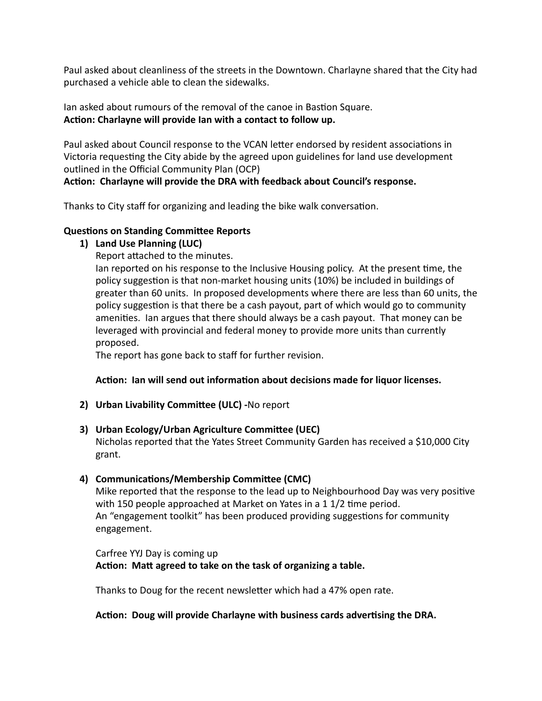Paul asked about cleanliness of the streets in the Downtown. Charlayne shared that the City had purchased a vehicle able to clean the sidewalks.

Ian asked about rumours of the removal of the canoe in Bastion Square. Action: Charlayne will provide Ian with a contact to follow up.

Paul asked about Council response to the VCAN letter endorsed by resident associations in Victoria requesting the City abide by the agreed upon guidelines for land use development outlined in the Official Community Plan (OCP)

#### Action: Charlayne will provide the DRA with feedback about Council's response.

Thanks to City staff for organizing and leading the bike walk conversation.

#### **Questions on Standing Committee Reports**

1) Land Use Planning (LUC)

Report attached to the minutes.

lan reported on his response to the Inclusive Housing policy. At the present time, the policy suggestion is that non-market housing units (10%) be included in buildings of greater than 60 units. In proposed developments where there are less than 60 units, the policy suggestion is that there be a cash payout, part of which would go to community amenities. Ian argues that there should always be a cash payout. That money can be leveraged with provincial and federal money to provide more units than currently proposed. 

The report has gone back to staff for further revision.

#### Action: Ian will send out information about decisions made for liquor licenses.

**2) Urban Livability Committee (ULC) -No report** 

#### **3)** Urban Ecology/Urban Agriculture Committee (UEC)

Nicholas reported that the Yates Street Community Garden has received a \$10,000 City grant. 

#### 4) **Communications/Membership Committee (CMC)**

Mike reported that the response to the lead up to Neighbourhood Day was very positive with 150 people approached at Market on Yates in a 1 $1/2$  time period. An "engagement toolkit" has been produced providing suggestions for community engagement. 

#### Carfree YYJ Day is coming up Action: Matt agreed to take on the task of organizing a table.

Thanks to Doug for the recent newsletter which had a 47% open rate.

#### Action: Doug will provide Charlayne with business cards advertising the DRA.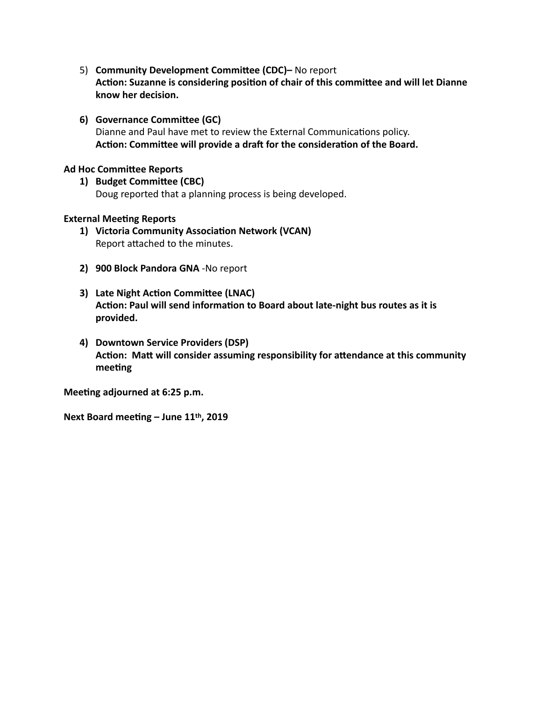- 5) **Community Development Committee (CDC)-** No report Action: Suzanne is considering position of chair of this committee and will let Dianne **know her decision.**
- **6)** Governance Committee (GC) Dianne and Paul have met to review the External Communications policy. Action: Committee will provide a draft for the consideration of the Board.

#### **Ad Hoc Committee Reports**

1) **Budget Committee (CBC)** Doug reported that a planning process is being developed.

#### **External Meeting Reports**

- 1) Victoria Community Association Network (VCAN) Report attached to the minutes.
- **2) 900 Block Pandora GNA** -No report
- **3)** Late Night Action Committee (LNAC) Action: Paul will send information to Board about late-night bus routes as it is **provided.**
- **4) Downtown Service Providers (DSP)**  Action: Matt will consider assuming responsibility for attendance at this community meeting

**Meeting adjourned at 6:25 p.m.** 

Next Board meeting - June 11<sup>th</sup>, 2019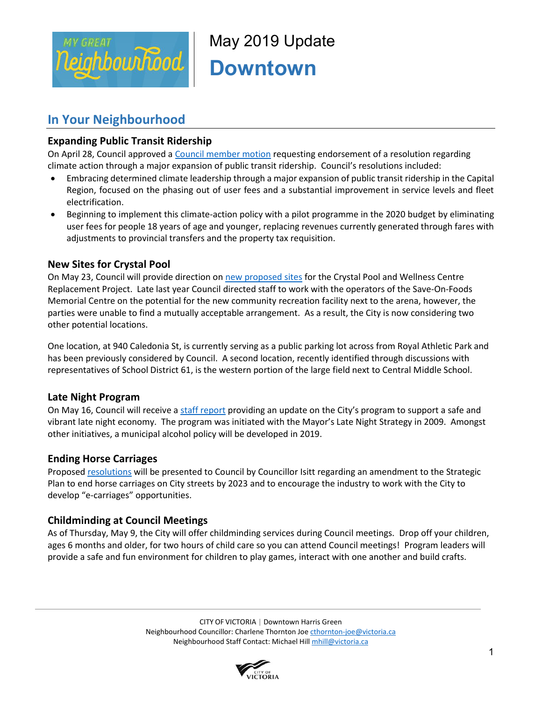

May 2019 Update **Downtown** 

### **In Your Neighbourhood**

#### **Expanding Public Transit Ridership**

On April 28, Council approved [a Council member motion](https://pub-victoria.escribemeetings.com/filestream.ashx?DocumentId=36548) requesting endorsement of a resolution regarding climate action through a major expansion of public transit ridership. Council's resolutions included:

- Embracing determined climate leadership through a major expansion of public transit ridership in the Capital Region, focused on the phasing out of user fees and a substantial improvement in service levels and fleet electrification.
- Beginning to implement this climate-action policy with a pilot programme in the 2020 budget by eliminating user fees for people 18 years of age and younger, replacing revenues currently generated through fares with adjustments to provincial transfers and the property tax requisition.

#### **New Sites for Crystal Pool**

On May 23, Council will provide direction o[n new proposed sites](https://can01.safelinks.protection.outlook.com/?url=https%3A%2F%2Fpub-victoria.escribemeetings.com%2Ffilestream.ashx%3FDocumentId%3D37179&data=02%7C01%7Cmhill%40victoria.ca%7Ca61be85e0b8c4a21979a08d6d0146310%7Cd7098116c6e84d2a89eedb15b6c23375%7C0%7C0%7C636925183308047340&sdata=RCf1q3q1Fj2ZoEz5kGo4a%2FP9YJ%2FpBjmlfH2R5H3uCFI%3D&reserved=0) for the Crystal Pool and Wellness Centre Replacement Project. Late last year Council directed staff to work with the operators of the Save-On-Foods Memorial Centre on the potential for the new community recreation facility next to the arena, however, the parties were unable to find a mutually acceptable arrangement. As a result, the City is now considering two other potential locations.

One location, at 940 Caledonia St, is currently serving as a public parking lot across from Royal Athletic Park and has been previously considered by Council. A second location, recently identified through discussions with representatives of School District 61, is the western portion of the large field next to Central Middle School.

#### **Late Night Program**

On May 16, Council will receive a [staff report](https://pub-victoria.escribemeetings.com/filestream.ashx?DocumentId=37721) providing an update on the City's program to support a safe and vibrant late night economy. The program was initiated with the Mayor's Late Night Strategy in 2009. Amongst other initiatives, a municipal alcohol policy will be developed in 2019.

#### **Ending Horse Carriages**

[Proposed resolutions](https://pub-victoria.escribemeetings.com/filestream.ashx?DocumentId=37720) will be presented to Council by Councillor Isitt regarding an amendment to the Strategic Plan to end horse carriages on City streets by 2023 and to encourage the industry to work with the City to develop "e-carriages" opportunities.

#### **Childminding at Council Meetings**

As of Thursday, May 9, the City will offer childminding services during Council meetings. Drop off your children, ages 6 months and older, for two hours of child care so you can attend Council meetings! Program leaders will provide a safe and fun environment for children to play games, interact with one another and build crafts.